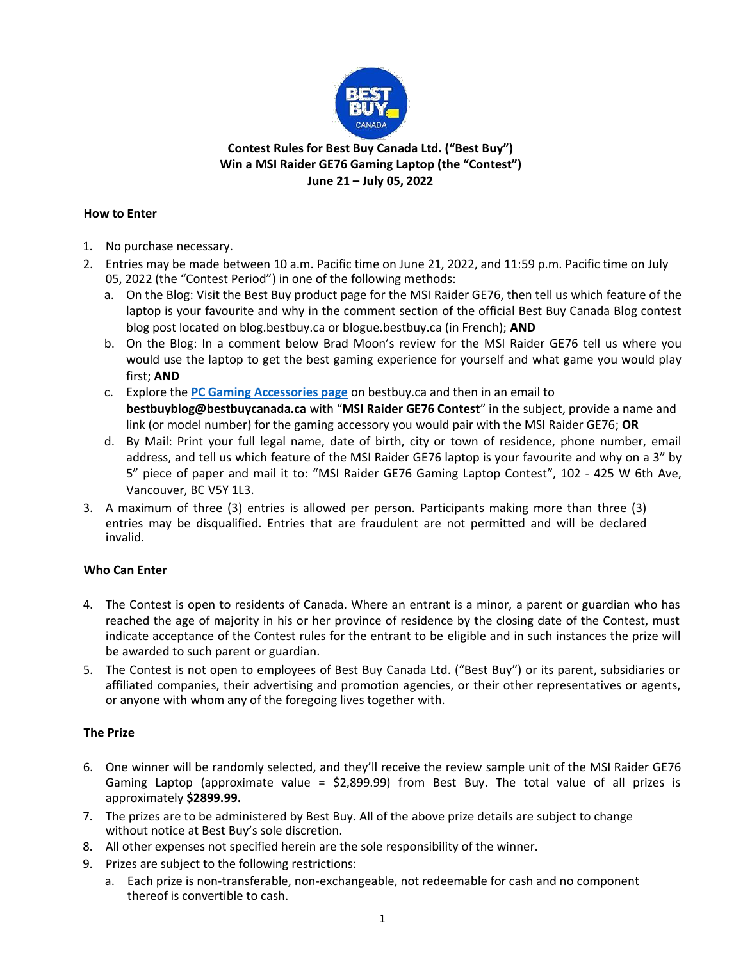

# **Contest Rules for Best Buy Canada Ltd. ("Best Buy") Win a MSI Raider GE76 Gaming Laptop (the "Contest") June 21 – July 05, 2022**

### **How to Enter**

- 1. No purchase necessary.
- 2. Entries may be made between 10 a.m. Pacific time on June 21, 2022, and 11:59 p.m. Pacific time on July 05, 2022 (the "Contest Period") in one of the following methods:
	- a. On the Blog: Visit the Best Buy product page for the MSI Raider GE76, then tell us which feature of the laptop is your favourite and why in the comment section of the official Best Buy Canada Blog contest blog post located on blog.bestbuy.ca or blogue.bestbuy.ca (in French); **AND**
	- b. On the Blog: In a comment below Brad Moon's review for the MSI Raider GE76 tell us where you would use the laptop to get the best gaming experience for yourself and what game you would play first; **AND**
	- c. Explore the **PC Gaming [Accessories page](https://www.bestbuy.ca/en-ca/event/pc-gaming-gear/blt7845710e70125227)** on bestbuy.ca and then in an email to **bestbuyblog@bestbuycanada.ca** with "**MSI Raider GE76 Contest**" in the subject, provide a name and link (or model number) for the gaming accessory you would pair with the MSI Raider GE76; **OR**
	- d. By Mail: Print your full legal name, date of birth, city or town of residence, phone number, email address, and tell us which feature of the MSI Raider GE76 laptop is your favourite and why on a 3" by 5" piece of paper and mail it to: "MSI Raider GE76 Gaming Laptop Contest", 102 - 425 W 6th Ave, Vancouver, BC V5Y 1L3.
- 3. A maximum of three (3) entries is allowed per person. Participants making more than three (3) entries may be disqualified. Entries that are fraudulent are not permitted and will be declared invalid.

# **Who Can Enter**

- 4. The Contest is open to residents of Canada. Where an entrant is a minor, a parent or guardian who has reached the age of majority in his or her province of residence by the closing date of the Contest, must indicate acceptance of the Contest rules for the entrant to be eligible and in such instances the prize will be awarded to such parent or guardian.
- 5. The Contest is not open to employees of Best Buy Canada Ltd. ("Best Buy") or its parent, subsidiaries or affiliated companies, their advertising and promotion agencies, or their other representatives or agents, or anyone with whom any of the foregoing lives together with.

# **The Prize**

- 6. One winner will be randomly selected, and they'll receive the review sample unit of the MSI Raider GE76 Gaming Laptop (approximate value = \$2,899.99) from Best Buy. The total value of all prizes is approximately **\$2899.99.**
- 7. The prizes are to be administered by Best Buy. All of the above prize details are subject to change without notice at Best Buy's sole discretion.
- 8. All other expenses not specified herein are the sole responsibility of the winner.
- 9. Prizes are subject to the following restrictions:
	- a. Each prize is non-transferable, non-exchangeable, not redeemable for cash and no component thereof is convertible to cash.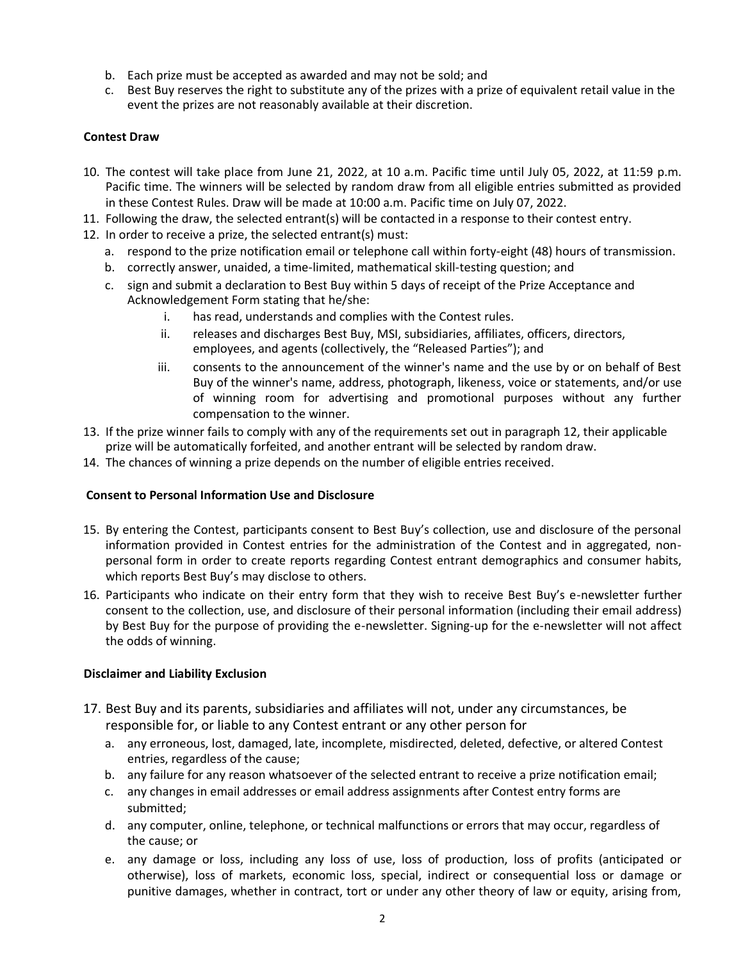- b. Each prize must be accepted as awarded and may not be sold; and
- c. Best Buy reserves the right to substitute any of the prizes with a prize of equivalent retail value in the event the prizes are not reasonably available at their discretion.

## **Contest Draw**

- 10. The contest will take place from June 21, 2022, at 10 a.m. Pacific time until July 05, 2022, at 11:59 p.m. Pacific time. The winners will be selected by random draw from all eligible entries submitted as provided in these Contest Rules. Draw will be made at 10:00 a.m. Pacific time on July 07, 2022.
- 11. Following the draw, the selected entrant(s) will be contacted in a response to their contest entry.
- 12. In order to receive a prize, the selected entrant(s) must:
	- a. respond to the prize notification email or telephone call within forty-eight (48) hours of transmission.
	- b. correctly answer, unaided, a time-limited, mathematical skill-testing question; and
	- c. sign and submit a declaration to Best Buy within 5 days of receipt of the Prize Acceptance and Acknowledgement Form stating that he/she:
		- i. has read, understands and complies with the Contest rules.
		- ii. releases and discharges Best Buy, MSI, subsidiaries, affiliates, officers, directors, employees, and agents (collectively, the "Released Parties"); and
		- iii. consents to the announcement of the winner's name and the use by or on behalf of Best Buy of the winner's name, address, photograph, likeness, voice or statements, and/or use of winning room for advertising and promotional purposes without any further compensation to the winner.
- 13. If the prize winner fails to comply with any of the requirements set out in paragraph 12, their applicable prize will be automatically forfeited, and another entrant will be selected by random draw.
- 14. The chances of winning a prize depends on the number of eligible entries received.

#### **Consent to Personal Information Use and Disclosure**

- 15. By entering the Contest, participants consent to Best Buy's collection, use and disclosure of the personal information provided in Contest entries for the administration of the Contest and in aggregated, nonpersonal form in order to create reports regarding Contest entrant demographics and consumer habits, which reports Best Buy's may disclose to others.
- 16. Participants who indicate on their entry form that they wish to receive Best Buy's e-newsletter further consent to the collection, use, and disclosure of their personal information (including their email address) by Best Buy for the purpose of providing the e-newsletter. Signing-up for the e-newsletter will not affect the odds of winning.

#### **Disclaimer and Liability Exclusion**

- 17. Best Buy and its parents, subsidiaries and affiliates will not, under any circumstances, be responsible for, or liable to any Contest entrant or any other person for
	- a. any erroneous, lost, damaged, late, incomplete, misdirected, deleted, defective, or altered Contest entries, regardless of the cause;
	- b. any failure for any reason whatsoever of the selected entrant to receive a prize notification email;
	- c. any changes in email addresses or email address assignments after Contest entry forms are submitted;
	- d. any computer, online, telephone, or technical malfunctions or errors that may occur, regardless of the cause; or
	- e. any damage or loss, including any loss of use, loss of production, loss of profits (anticipated or otherwise), loss of markets, economic loss, special, indirect or consequential loss or damage or punitive damages, whether in contract, tort or under any other theory of law or equity, arising from,